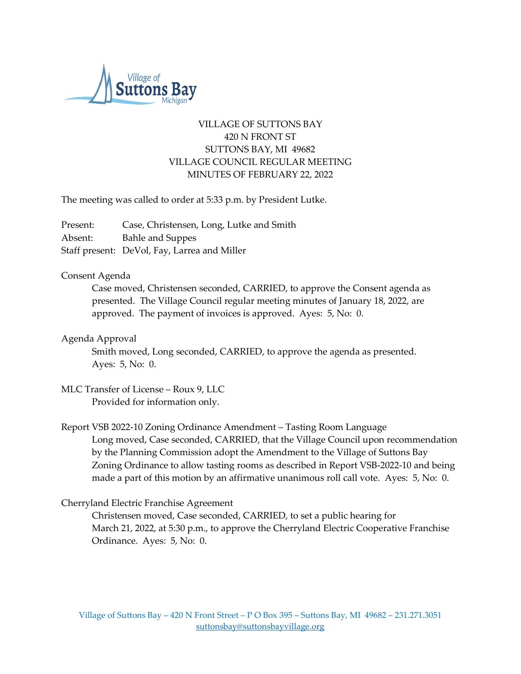

# VILLAGE OF SUTTONS BAY 420 N FRONT ST SUTTONS BAY, MI 49682 VILLAGE COUNCIL REGULAR MEETING MINUTES OF FEBRUARY 22, 2022

The meeting was called to order at 5:33 p.m. by President Lutke.

Present: Case, Christensen, Long, Lutke and Smith Absent: Bahle and Suppes Staff present: DeVol, Fay, Larrea and Miller

#### Consent Agenda

Case moved, Christensen seconded, CARRIED, to approve the Consent agenda as presented. The Village Council regular meeting minutes of January 18, 2022, are approved. The payment of invoices is approved. Ayes: 5, No: 0.

## Agenda Approval

Smith moved, Long seconded, CARRIED, to approve the agenda as presented. Ayes: 5, No: 0.

#### MLC Transfer of License – Roux 9, LLC Provided for information only.

Report VSB 2022-10 Zoning Ordinance Amendment – Tasting Room Language Long moved, Case seconded, CARRIED, that the Village Council upon recommendation by the Planning Commission adopt the Amendment to the Village of Suttons Bay Zoning Ordinance to allow tasting rooms as described in Report VSB-2022-10 and being made a part of this motion by an affirmative unanimous roll call vote. Ayes: 5, No: 0.

# Cherryland Electric Franchise Agreement

Christensen moved, Case seconded, CARRIED, to set a public hearing for March 21, 2022, at 5:30 p.m., to approve the Cherryland Electric Cooperative Franchise Ordinance. Ayes: 5, No: 0.